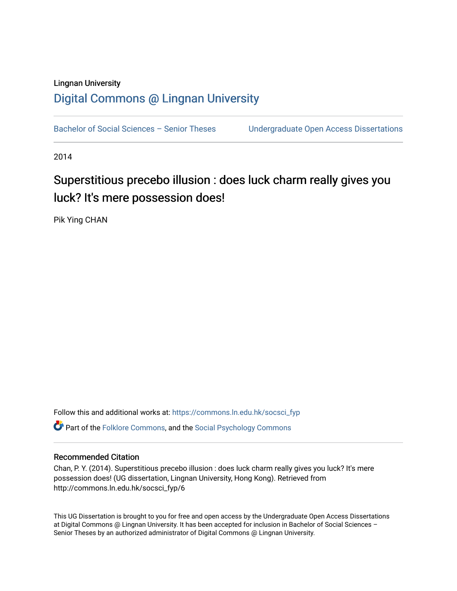## Lingnan University [Digital Commons @ Lingnan University](https://commons.ln.edu.hk/)

Bachelor of Social Sciences - Senior Theses Undergraduate Open Access Dissertations

2014

# Superstitious precebo illusion : does luck charm really gives you luck? It's mere possession does!

Pik Ying CHAN

Follow this and additional works at: [https://commons.ln.edu.hk/socsci\\_fyp](https://commons.ln.edu.hk/socsci_fyp?utm_source=commons.ln.edu.hk%2Fsocsci_fyp%2F6&utm_medium=PDF&utm_campaign=PDFCoverPages) **P** Part of the [Folklore Commons](http://network.bepress.com/hgg/discipline/321?utm_source=commons.ln.edu.hk%2Fsocsci_fyp%2F6&utm_medium=PDF&utm_campaign=PDFCoverPages), and the Social Psychology Commons

## Recommended Citation

Chan, P. Y. (2014). Superstitious precebo illusion : does luck charm really gives you luck? It's mere possession does! (UG dissertation, Lingnan University, Hong Kong). Retrieved from http://commons.ln.edu.hk/socsci\_fyp/6

This UG Dissertation is brought to you for free and open access by the Undergraduate Open Access Dissertations at Digital Commons @ Lingnan University. It has been accepted for inclusion in Bachelor of Social Sciences – Senior Theses by an authorized administrator of Digital Commons @ Lingnan University.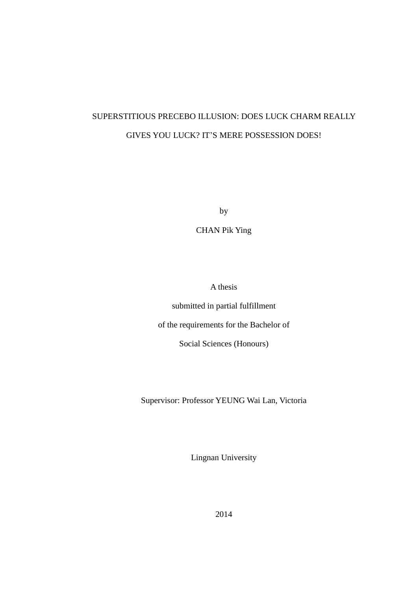## SUPERSTITIOUS PRECEBO ILLUSION: DOES LUCK CHARM REALLY GIVES YOU LUCK? IT'S MERE POSSESSION DOES!

by

CHAN Pik Ying

A thesis

submitted in partial fulfillment of the requirements for the Bachelor of

Social Sciences (Honours)

Supervisor: Professor YEUNG Wai Lan, Victoria

Lingnan University

2014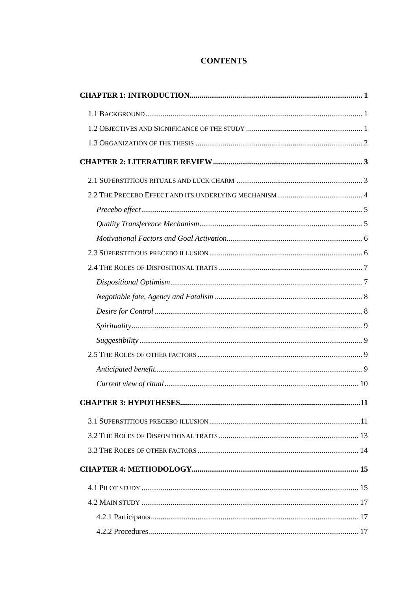## **CONTENTS**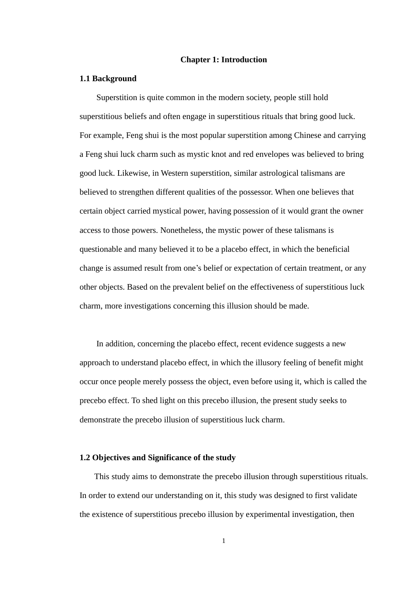### **Chapter 1: Introduction**

#### **1.1 Background**

Superstition is quite common in the modern society, people still hold superstitious beliefs and often engage in superstitious rituals that bring good luck. For example, Feng shui is the most popular superstition among Chinese and carrying a Feng shui luck charm such as mystic knot and red envelopes was believed to bring good luck. Likewise, in Western superstition, similar astrological talismans are believed to strengthen different qualities of the possessor. When one believes that certain object carried mystical power, having possession of it would grant the owner access to those powers. Nonetheless, the mystic power of these talismans is questionable and many believed it to be a placebo effect, in which the beneficial change is assumed result from one's belief or expectation of certain treatment, or any other objects. Based on the prevalent belief on the effectiveness of superstitious luck charm, more investigations concerning this illusion should be made.

In addition, concerning the placebo effect, recent evidence suggests a new approach to understand placebo effect, in which the illusory feeling of benefit might occur once people merely possess the object, even before using it, which is called the precebo effect. To shed light on this precebo illusion, the present study seeks to demonstrate the precebo illusion of superstitious luck charm.

## **1.2 Objectives and Significance of the study**

This study aims to demonstrate the precebo illusion through superstitious rituals. In order to extend our understanding on it, this study was designed to first validate the existence of superstitious precebo illusion by experimental investigation, then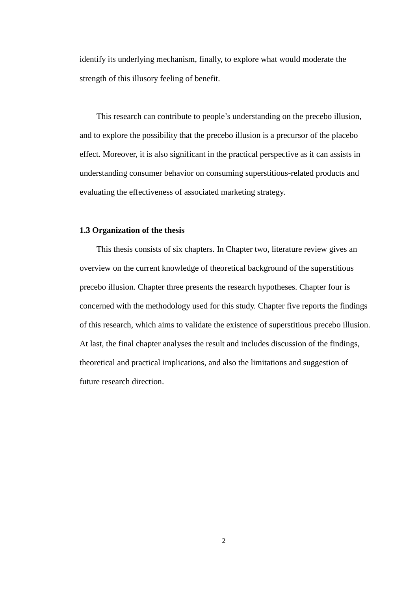identify its underlying mechanism, finally, to explore what would moderate the strength of this illusory feeling of benefit.

This research can contribute to people's understanding on the precebo illusion, and to explore the possibility that the precebo illusion is a precursor of the placebo effect. Moreover, it is also significant in the practical perspective as it can assists in understanding consumer behavior on consuming superstitious-related products and evaluating the effectiveness of associated marketing strategy.

## **1.3 Organization of the thesis**

This thesis consists of six chapters. In Chapter two, literature review gives an overview on the current knowledge of theoretical background of the superstitious precebo illusion. Chapter three presents the research hypotheses. Chapter four is concerned with the methodology used for this study. Chapter five reports the findings of this research, which aims to validate the existence of superstitious precebo illusion. At last, the final chapter analyses the result and includes discussion of the findings, theoretical and practical implications, and also the limitations and suggestion of future research direction.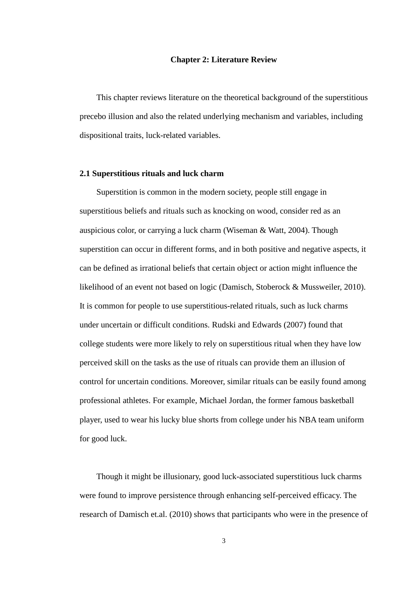### **Chapter 2: Literature Review**

This chapter reviews literature on the theoretical background of the superstitious precebo illusion and also the related underlying mechanism and variables, including dispositional traits, luck-related variables.

### **2.1 Superstitious rituals and luck charm**

Superstition is common in the modern society, people still engage in superstitious beliefs and rituals such as knocking on wood, consider red as an auspicious color, or carrying a luck charm (Wiseman & Watt, 2004). Though superstition can occur in different forms, and in both positive and negative aspects, it can be defined as irrational beliefs that certain object or action might influence the likelihood of an event not based on logic (Damisch, Stoberock & Mussweiler, 2010). It is common for people to use superstitious-related rituals, such as luck charms under uncertain or difficult conditions. Rudski and Edwards (2007) found that college students were more likely to rely on superstitious ritual when they have low perceived skill on the tasks as the use of rituals can provide them an illusion of control for uncertain conditions. Moreover, similar rituals can be easily found among professional athletes. For example, Michael Jordan, the former famous basketball player, used to wear his lucky blue shorts from college under his NBA team uniform for good luck.

Though it might be illusionary, good luck-associated superstitious luck charms were found to improve persistence through enhancing self-perceived efficacy. The research of Damisch et.al. (2010) shows that participants who were in the presence of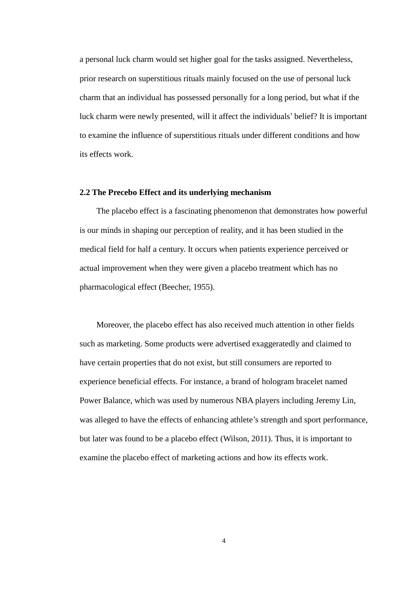a personal luck charm would set higher goal for the tasks assigned. Nevertheless, prior research on superstitious rituals mainly focused on the use of personal luck charm that an individual has possessed personally for a long period, but what if the luck charm were newly presented, will it affect the individuals' belief? It is important to examine the influence of superstitious rituals under different conditions and how its effects work.

## **2.2 The Precebo Effect and its underlying mechanism**

The placebo effect is a fascinating phenomenon that demonstrates how powerful is our minds in shaping our perception of reality, and it has been studied in the medical field for half a century. It occurs when patients experience perceived or actual improvement when they were given a placebo treatment which has no pharmacological effect (Beecher, 1955).

Moreover, the placebo effect has also received much attention in other fields such as marketing. Some products were advertised exaggeratedly and claimed to have certain properties that do not exist, but still consumers are reported to experience beneficial effects. For instance, a brand of hologram bracelet named Power Balance, which was used by numerous NBA players including Jeremy Lin, was alleged to have the effects of enhancing athlete's strength and sport performance, but later was found to be a placebo effect (Wilson, 2011). Thus, it is important to examine the placebo effect of marketing actions and how its effects work.

4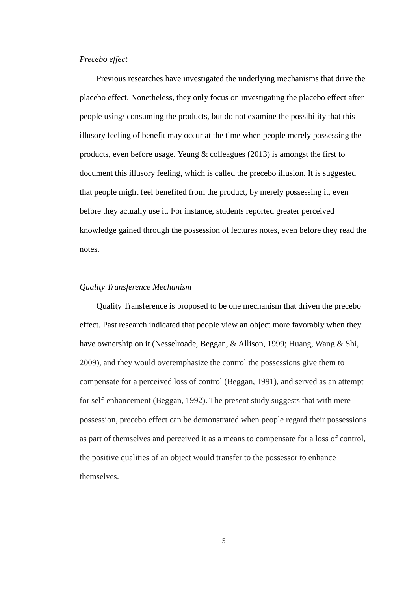## *Precebo effect*

Previous researches have investigated the underlying mechanisms that drive the placebo effect. Nonetheless, they only focus on investigating the placebo effect after people using/ consuming the products, but do not examine the possibility that this illusory feeling of benefit may occur at the time when people merely possessing the products, even before usage. Yeung & colleagues (2013) is amongst the first to document this illusory feeling, which is called the precebo illusion. It is suggested that people might feel benefited from the product, by merely possessing it, even before they actually use it. For instance, students reported greater perceived knowledge gained through the possession of lectures notes, even before they read the notes.

## *Quality Transference Mechanism*

Quality Transference is proposed to be one mechanism that driven the precebo effect. Past research indicated that people view an object more favorably when they have ownership on it (Nesselroade, Beggan, & Allison, 1999; Huang, Wang & Shi, 2009), and they would overemphasize the control the possessions give them to compensate for a perceived loss of control (Beggan, 1991), and served as an attempt for self-enhancement (Beggan, 1992). The present study suggests that with mere possession, precebo effect can be demonstrated when people regard their possessions as part of themselves and perceived it as a means to compensate for a loss of control, the positive qualities of an object would transfer to the possessor to enhance themselves.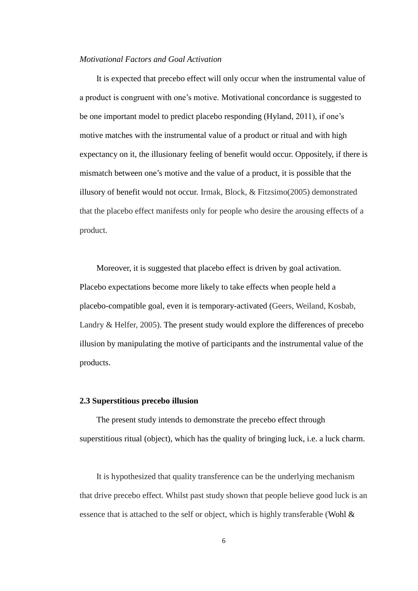## *Motivational Factors and Goal Activation*

It is expected that precebo effect will only occur when the instrumental value of a product is congruent with one's motive. Motivational concordance is suggested to be one important model to predict placebo responding (Hyland, 2011), if one's motive matches with the instrumental value of a product or ritual and with high expectancy on it, the illusionary feeling of benefit would occur. Oppositely, if there is mismatch between one's motive and the value of a product, it is possible that the illusory of benefit would not occur. Irmak, Block, & Fitzsimo(2005) demonstrated that the placebo effect manifests only for people who desire the arousing effects of a product.

Moreover, it is suggested that placebo effect is driven by goal activation. Placebo expectations become more likely to take effects when people held a placebo-compatible goal, even it is temporary-activated (Geers, Weiland, Kosbab, Landry & Helfer, 2005). The present study would explore the differences of precebo illusion by manipulating the motive of participants and the instrumental value of the products.

## **2.3 Superstitious precebo illusion**

The present study intends to demonstrate the precebo effect through superstitious ritual (object), which has the quality of bringing luck, i.e. a luck charm.

It is hypothesized that quality transference can be the underlying mechanism that drive precebo effect. Whilst past study shown that people believe good luck is an essence that is attached to the self or object, which is highly transferable (Wohl  $\&$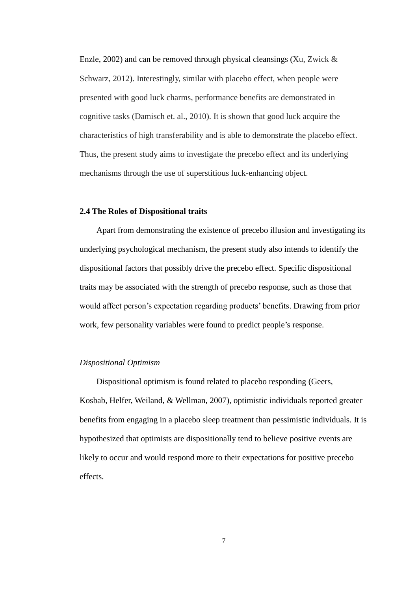Enzle, 2002) and can be removed through physical cleansings (Xu, Zwick & Schwarz, 2012). Interestingly, similar with placebo effect, when people were presented with good luck charms, performance benefits are demonstrated in cognitive tasks (Damisch et. al., 2010). It is shown that good luck acquire the characteristics of high transferability and is able to demonstrate the placebo effect. Thus, the present study aims to investigate the precebo effect and its underlying mechanisms through the use of superstitious luck-enhancing object.

## **2.4 The Roles of Dispositional traits**

Apart from demonstrating the existence of precebo illusion and investigating its underlying psychological mechanism, the present study also intends to identify the dispositional factors that possibly drive the precebo effect. Specific dispositional traits may be associated with the strength of precebo response, such as those that would affect person's expectation regarding products' benefits. Drawing from prior work, few personality variables were found to predict people's response.

### *Dispositional Optimism*

Dispositional optimism is found related to placebo responding (Geers, Kosbab, Helfer, Weiland, & Wellman, 2007), optimistic individuals reported greater benefits from engaging in a placebo sleep treatment than pessimistic individuals. It is hypothesized that optimists are dispositionally tend to believe positive events are likely to occur and would respond more to their expectations for positive precebo effects.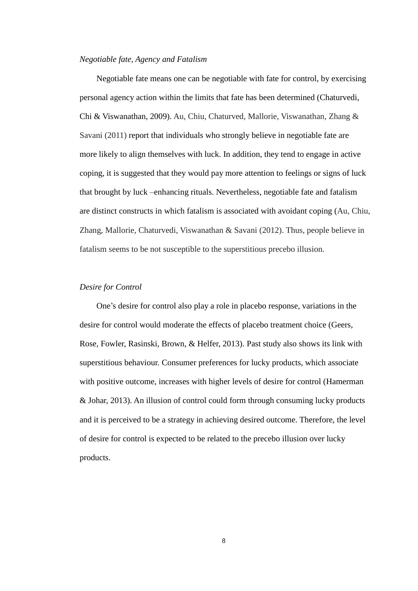## *Negotiable fate, Agency and Fatalism*

Negotiable fate means one can be negotiable with fate for control, by exercising personal agency action within the limits that fate has been determined (Chaturvedi, Chi & Viswanathan, 2009). Au, Chiu, Chaturved, Mallorie, Viswanathan, Zhang & Savani (2011) report that individuals who strongly believe in negotiable fate are more likely to align themselves with luck. In addition, they tend to engage in active coping, it is suggested that they would pay more attention to feelings or signs of luck that brought by luck –enhancing rituals. Nevertheless, negotiable fate and fatalism are distinct constructs in which fatalism is associated with avoidant coping (Au, Chiu, Zhang, Mallorie, Chaturvedi, Viswanathan & Savani (2012). Thus, people believe in fatalism seems to be not susceptible to the superstitious precebo illusion.

## *Desire for Control*

One's desire for control also play a role in placebo response, variations in the desire for control would moderate the effects of placebo treatment choice (Geers, Rose, Fowler, Rasinski, Brown, & Helfer, 2013). Past study also shows its link with superstitious behaviour. Consumer preferences for lucky products, which associate with positive outcome, increases with higher levels of desire for control (Hamerman & Johar, 2013). An illusion of control could form through consuming lucky products and it is perceived to be a strategy in achieving desired outcome. Therefore, the level of desire for control is expected to be related to the precebo illusion over lucky products.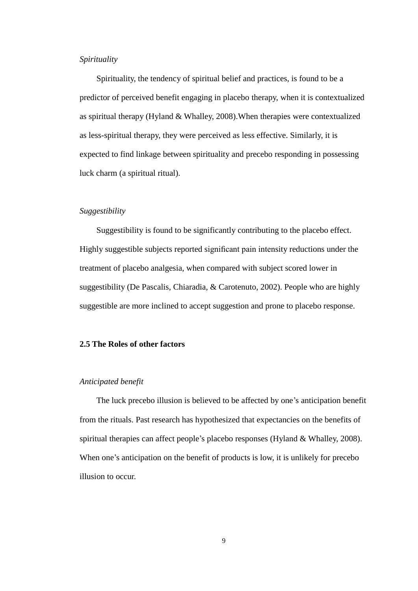## *Spirituality*

Spirituality, the tendency of spiritual belief and practices, is found to be a predictor of perceived benefit engaging in placebo therapy, when it is contextualized as spiritual therapy (Hyland & Whalley, 2008).When therapies were contextualized as less-spiritual therapy, they were perceived as less effective. Similarly, it is expected to find linkage between spirituality and precebo responding in possessing luck charm (a spiritual ritual).

## *Suggestibility*

Suggestibility is found to be significantly contributing to the placebo effect. Highly suggestible subjects reported significant pain intensity reductions under the treatment of placebo analgesia, when compared with subject scored lower in suggestibility (De Pascalis, Chiaradia, & Carotenuto, 2002). People who are highly suggestible are more inclined to accept suggestion and prone to placebo response.

## **2.5 The Roles of other factors**

## *Anticipated benefit*

The luck precebo illusion is believed to be affected by one's anticipation benefit from the rituals. Past research has hypothesized that expectancies on the benefits of spiritual therapies can affect people's placebo responses (Hyland & Whalley, 2008). When one's anticipation on the benefit of products is low, it is unlikely for precebo illusion to occur.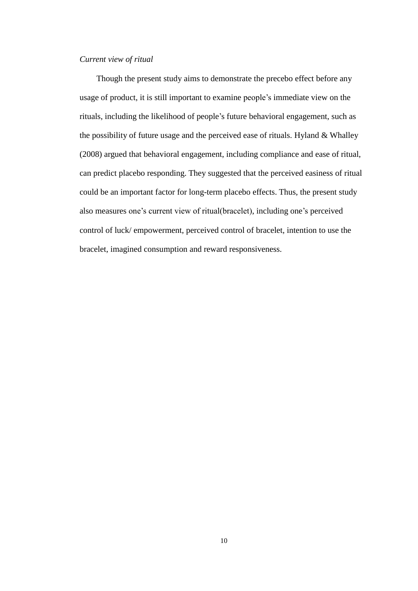## *Current view of ritual*

Though the present study aims to demonstrate the precebo effect before any usage of product, it is still important to examine people's immediate view on the rituals, including the likelihood of people's future behavioral engagement, such as the possibility of future usage and the perceived ease of rituals. Hyland & Whalley (2008) argued that behavioral engagement, including compliance and ease of ritual, can predict placebo responding. They suggested that the perceived easiness of ritual could be an important factor for long-term placebo effects. Thus, the present study also measures one's current view of ritual(bracelet), including one's perceived control of luck/ empowerment, perceived control of bracelet, intention to use the bracelet, imagined consumption and reward responsiveness.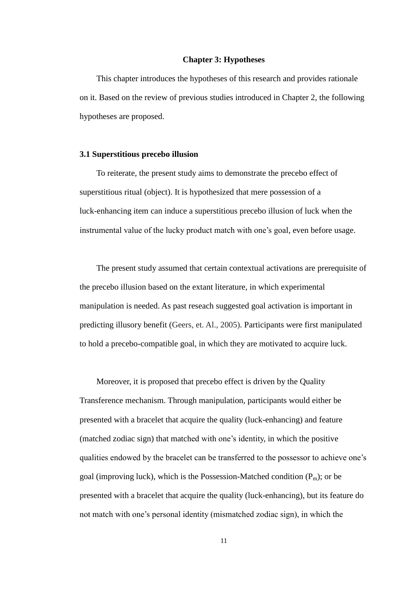#### **Chapter 3: Hypotheses**

This chapter introduces the hypotheses of this research and provides rationale on it. Based on the review of previous studies introduced in Chapter 2, the following hypotheses are proposed.

## **3.1 Superstitious precebo illusion**

To reiterate, the present study aims to demonstrate the precebo effect of superstitious ritual (object). It is hypothesized that mere possession of a luck-enhancing item can induce a superstitious precebo illusion of luck when the instrumental value of the lucky product match with one's goal, even before usage.

The present study assumed that certain contextual activations are prerequisite of the precebo illusion based on the extant literature, in which experimental manipulation is needed. As past reseach suggested goal activation is important in predicting illusory benefit (Geers, et. Al., 2005). Participants were first manipulated to hold a precebo-compatible goal, in which they are motivated to acquire luck.

Moreover, it is proposed that precebo effect is driven by the Quality Transference mechanism. Through manipulation, participants would either be presented with a bracelet that acquire the quality (luck-enhancing) and feature (matched zodiac sign) that matched with one's identity, in which the positive qualities endowed by the bracelet can be transferred to the possessor to achieve one's goal (improving luck), which is the Possession-Matched condition  $(P_m)$ ; or be presented with a bracelet that acquire the quality (luck-enhancing), but its feature do not match with one's personal identity (mismatched zodiac sign), in which the

11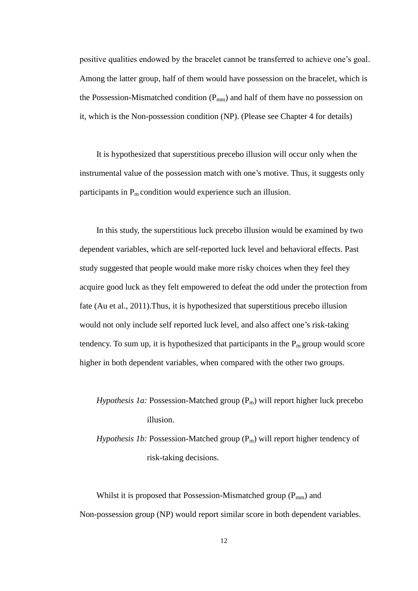positive qualities endowed by the bracelet cannot be transferred to achieve one's goal. Among the latter group, half of them would have possession on the bracelet, which is the Possession-Mismatched condition  $(P_{mm})$  and half of them have no possession on it, which is the Non-possession condition (NP). (Please see Chapter 4 for details)

It is hypothesized that superstitious precebo illusion will occur only when the instrumental value of the possession match with one's motive. Thus, it suggests only participants in  $P_m$  condition would experience such an illusion.

In this study, the superstitious luck precebo illusion would be examined by two dependent variables, which are self-reported luck level and behavioral effects. Past study suggested that people would make more risky choices when they feel they acquire good luck as they felt empowered to defeat the odd under the protection from fate (Au et al., 2011).Thus, it is hypothesized that superstitious precebo illusion would not only include self reported luck level, and also affect one's risk-taking tendency. To sum up, it is hypothesized that participants in the  $P_m$  group would score higher in both dependent variables, when compared with the other two groups.

*Hypothesis 1a: Possession-Matched group* (P<sub>m</sub>) will report higher luck precebo illusion.

*Hypothesis 1b:* Possession-Matched group (P<sub>m</sub>) will report higher tendency of risk-taking decisions.

Whilst it is proposed that Possession-Mismatched group  $(P_{mm})$  and Non-possession group (NP) would report similar score in both dependent variables.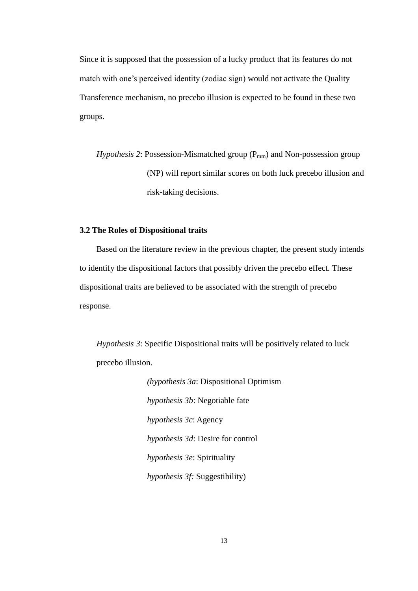Since it is supposed that the possession of a lucky product that its features do not match with one's perceived identity (zodiac sign) would not activate the Quality Transference mechanism, no precebo illusion is expected to be found in these two groups.

*Hypothesis* 2: Possession-Mismatched group  $(P_{mm})$  and Non-possession group (NP) will report similar scores on both luck precebo illusion and risk-taking decisions.

## **3.2 The Roles of Dispositional traits**

Based on the literature review in the previous chapter, the present study intends to identify the dispositional factors that possibly driven the precebo effect. These dispositional traits are believed to be associated with the strength of precebo response.

*Hypothesis 3*: Specific Dispositional traits will be positively related to luck precebo illusion.

> *(hypothesis 3a*: Dispositional Optimism *hypothesis 3b*: Negotiable fate *hypothesis 3c*: Agency *hypothesis 3d*: Desire for control *hypothesis 3e*: Spirituality *hypothesis 3f:* Suggestibility)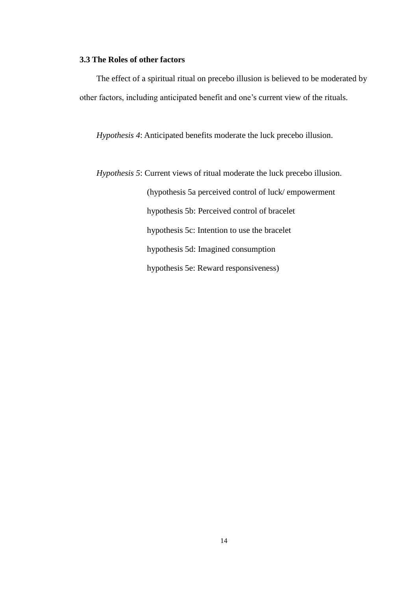## **3.3 The Roles of other factors**

The effect of a spiritual ritual on precebo illusion is believed to be moderated by other factors, including anticipated benefit and one's current view of the rituals.

*Hypothesis 4*: Anticipated benefits moderate the luck precebo illusion.

*Hypothesis 5*: Current views of ritual moderate the luck precebo illusion. (hypothesis 5a perceived control of luck/ empowerment hypothesis 5b: Perceived control of bracelet hypothesis 5c: Intention to use the bracelet hypothesis 5d: Imagined consumption hypothesis 5e: Reward responsiveness)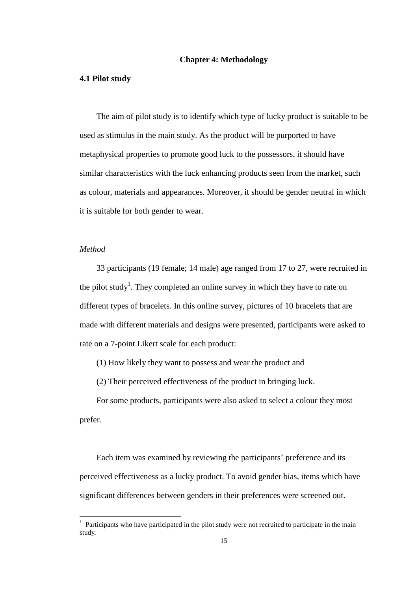## **Chapter 4: Methodology**

### **4.1 Pilot study**

The aim of pilot study is to identify which type of lucky product is suitable to be used as stimulus in the main study. As the product will be purported to have metaphysical properties to promote good luck to the possessors, it should have similar characteristics with the luck enhancing products seen from the market, such as colour, materials and appearances. Moreover, it should be gender neutral in which it is suitable for both gender to wear.

## *Method*

33 participants (19 female; 14 male) age ranged from 17 to 27, were recruited in the pilot study<sup>1</sup>. They completed an online survey in which they have to rate on different types of bracelets. In this online survey, pictures of 10 bracelets that are made with different materials and designs were presented, participants were asked to rate on a 7-point Likert scale for each product:

(1) How likely they want to possess and wear the product and

(2) Their perceived effectiveness of the product in bringing luck.

For some products, participants were also asked to select a colour they most prefer.

Each item was examined by reviewing the participants' preference and its perceived effectiveness as a lucky product. To avoid gender bias, items which have significant differences between genders in their preferences were screened out.

<sup>&</sup>lt;sup>1</sup> Participants who have participated in the pilot study were not recruited to participate in the main study.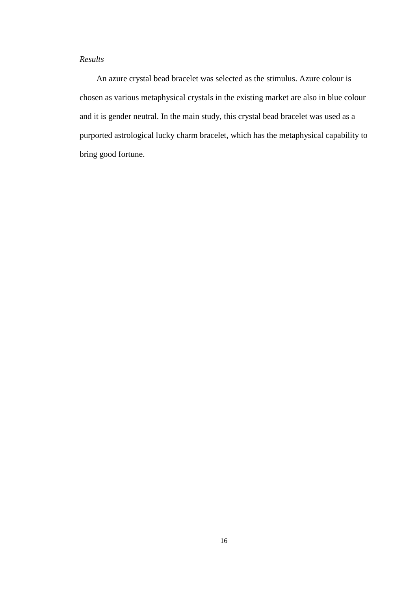## *Results*

An azure crystal bead bracelet was selected as the stimulus. Azure colour is chosen as various metaphysical crystals in the existing market are also in blue colour and it is gender neutral. In the main study, this crystal bead bracelet was used as a purported astrological lucky charm bracelet, which has the metaphysical capability to bring good fortune.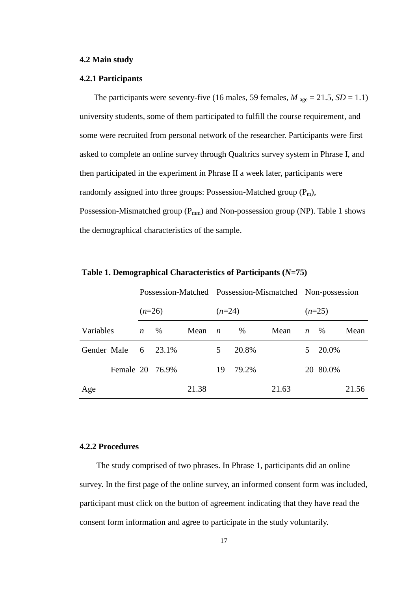## **4.2 Main study**

#### **4.2.1 Participants**

The participants were seventy-five (16 males, 59 females,  $M_{\text{age}} = 21.5$ ,  $SD = 1.1$ ) university students, some of them participated to fulfill the course requirement, and some were recruited from personal network of the researcher. Participants were first asked to complete an online survey through Qualtrics survey system in Phrase I, and then participated in the experiment in Phrase II a week later, participants were randomly assigned into three groups: Possession-Matched group  $(P_m)$ , Possession-Mismatched group ( $P_{mm}$ ) and Non-possession group (NP). Table 1 shows the demographical characteristics of the sample.

|             |                 |                  |       |       |                |          | Possession-Matched Possession-Mismatched Non-possession |                  |          |       |
|-------------|-----------------|------------------|-------|-------|----------------|----------|---------------------------------------------------------|------------------|----------|-------|
|             |                 | $(n=26)$         |       |       |                | $(n=24)$ | $(n=25)$                                                |                  |          |       |
| Variables   |                 | $\boldsymbol{n}$ | $\%$  | Mean  | $\overline{n}$ | $\%$     | Mean                                                    | $\boldsymbol{n}$ | $\%$     | Mean  |
| Gender Male |                 | 6                | 23.1% |       | 5.             | 20.8%    |                                                         | 5.               | 20.0%    |       |
|             | Female 20 76.9% |                  |       |       | 19             | 79.2%    |                                                         |                  | 20 80.0% |       |
| Age         |                 |                  |       | 21.38 |                |          | 21.63                                                   |                  |          | 21.56 |

**Table 1. Demographical Characteristics of Participants (***N***=75)**

## **4.2.2 Procedures**

The study comprised of two phrases. In Phrase 1, participants did an online survey. In the first page of the online survey, an informed consent form was included, participant must click on the button of agreement indicating that they have read the consent form information and agree to participate in the study voluntarily.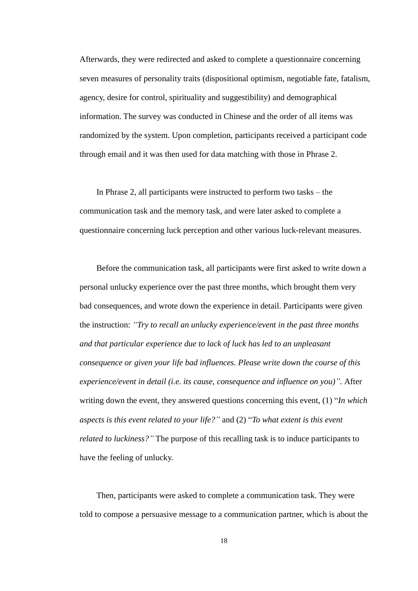Afterwards, they were redirected and asked to complete a questionnaire concerning seven measures of personality traits (dispositional optimism, negotiable fate, fatalism, agency, desire for control, spirituality and suggestibility) and demographical information. The survey was conducted in Chinese and the order of all items was randomized by the system. Upon completion, participants received a participant code through email and it was then used for data matching with those in Phrase 2.

In Phrase 2, all participants were instructed to perform two tasks – the communication task and the memory task, and were later asked to complete a questionnaire concerning luck perception and other various luck-relevant measures.

Before the communication task, all participants were first asked to write down a personal unlucky experience over the past three months, which brought them very bad consequences, and wrote down the experience in detail. Participants were given the instruction: *"Try to recall an unlucky experience/event in the past three months and that particular experience due to lack of luck has led to an unpleasant consequence or given your life bad influences. Please write down the course of this experience/event in detail (i.e. its cause, consequence and influence on you)".* After writing down the event, they answered questions concerning this event, (1) "*In which aspects is this event related to your life?"* and (2) "*To what extent is this event related to luckiness?"* The purpose of this recalling task is to induce participants to have the feeling of unlucky.

Then, participants were asked to complete a communication task. They were told to compose a persuasive message to a communication partner, which is about the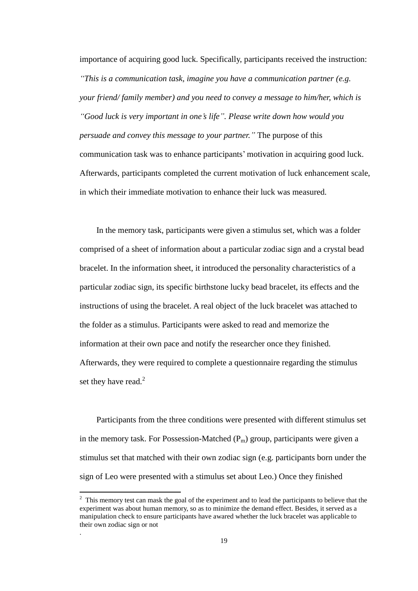importance of acquiring good luck. Specifically, participants received the instruction: *"This is a communication task, imagine you have a communication partner (e.g. your friend/ family member) and you need to convey a message to him/her, which is "Good luck is very important in one's life". Please write down how would you persuade and convey this message to your partner."* The purpose of this communication task was to enhance participants' motivation in acquiring good luck. Afterwards, participants completed the current motivation of luck enhancement scale, in which their immediate motivation to enhance their luck was measured.

In the memory task, participants were given a stimulus set, which was a folder comprised of a sheet of information about a particular zodiac sign and a crystal bead bracelet. In the information sheet, it introduced the personality characteristics of a particular zodiac sign, its specific birthstone lucky bead bracelet, its effects and the instructions of using the bracelet. A real object of the luck bracelet was attached to the folder as a stimulus. Participants were asked to read and memorize the information at their own pace and notify the researcher once they finished. Afterwards, they were required to complete a questionnaire regarding the stimulus set they have read.<sup>2</sup>

Participants from the three conditions were presented with different stimulus set in the memory task. For Possession-Matched  $(P_m)$  group, participants were given a stimulus set that matched with their own zodiac sign (e.g. participants born under the sign of Leo were presented with a stimulus set about Leo.) Once they finished

 $\overline{a}$ 

.

<sup>&</sup>lt;sup>2</sup> This memory test can mask the goal of the experiment and to lead the participants to believe that the experiment was about human memory, so as to minimize the demand effect. Besides, it served as a manipulation check to ensure participants have awared whether the luck bracelet was applicable to their own zodiac sign or not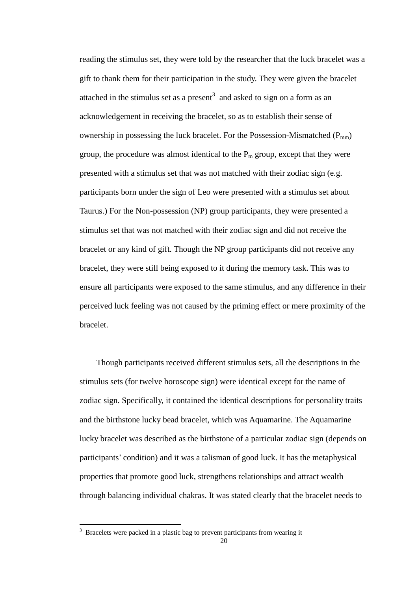reading the stimulus set, they were told by the researcher that the luck bracelet was a gift to thank them for their participation in the study. They were given the bracelet attached in the stimulus set as a present<sup>3</sup> and asked to sign on a form as an acknowledgement in receiving the bracelet, so as to establish their sense of ownership in possessing the luck bracelet. For the Possession-Mismatched  $(P_{mm})$ group, the procedure was almost identical to the  $P_m$  group, except that they were presented with a stimulus set that was not matched with their zodiac sign (e.g. participants born under the sign of Leo were presented with a stimulus set about Taurus.) For the Non-possession (NP) group participants, they were presented a stimulus set that was not matched with their zodiac sign and did not receive the bracelet or any kind of gift. Though the NP group participants did not receive any bracelet, they were still being exposed to it during the memory task. This was to ensure all participants were exposed to the same stimulus, and any difference in their perceived luck feeling was not caused by the priming effect or mere proximity of the bracelet.

Though participants received different stimulus sets, all the descriptions in the stimulus sets (for twelve horoscope sign) were identical except for the name of zodiac sign. Specifically, it contained the identical descriptions for personality traits and the birthstone lucky bead bracelet, which was Aquamarine. The Aquamarine lucky bracelet was described as the birthstone of a particular zodiac sign (depends on participants' condition) and it was a talisman of good luck. It has the metaphysical properties that promote good luck, strengthens relationships and attract wealth through balancing individual chakras. It was stated clearly that the bracelet needs to

 $\overline{a}$ 

 $3\overline{ }$  Bracelets were packed in a plastic bag to prevent participants from wearing it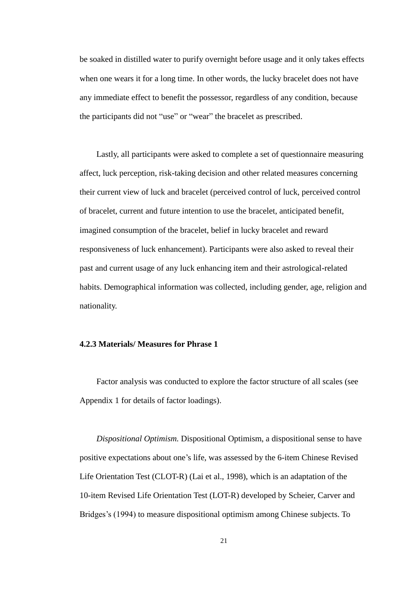be soaked in distilled water to purify overnight before usage and it only takes effects when one wears it for a long time. In other words, the lucky bracelet does not have any immediate effect to benefit the possessor, regardless of any condition, because the participants did not "use" or "wear" the bracelet as prescribed.

Lastly, all participants were asked to complete a set of questionnaire measuring affect, luck perception, risk-taking decision and other related measures concerning their current view of luck and bracelet (perceived control of luck, perceived control of bracelet, current and future intention to use the bracelet, anticipated benefit, imagined consumption of the bracelet, belief in lucky bracelet and reward responsiveness of luck enhancement). Participants were also asked to reveal their past and current usage of any luck enhancing item and their astrological-related habits. Demographical information was collected, including gender, age, religion and nationality.

## **4.2.3 Materials/ Measures for Phrase 1**

Factor analysis was conducted to explore the factor structure of all scales (see Appendix 1 for details of factor loadings).

*Dispositional Optimism.* Dispositional Optimism, a dispositional sense to have positive expectations about one's life, was assessed by the 6-item Chinese Revised Life Orientation Test (CLOT-R) (Lai et al., 1998), which is an adaptation of the 10-item Revised Life Orientation Test (LOT-R) developed by Scheier, Carver and Bridges's (1994) to measure dispositional optimism among Chinese subjects. To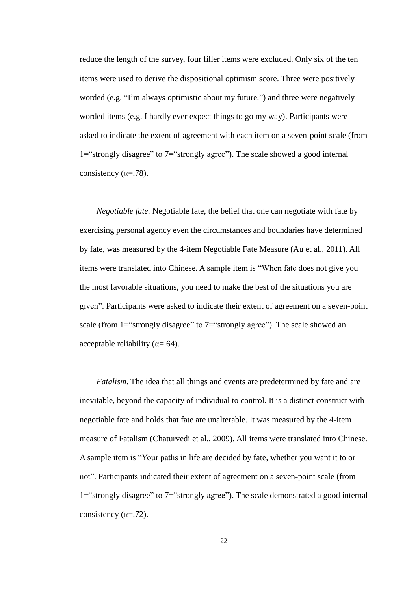reduce the length of the survey, four filler items were excluded. Only six of the ten items were used to derive the dispositional optimism score. Three were positively worded (e.g. "I'm always optimistic about my future.") and three were negatively worded items (e.g. I hardly ever expect things to go my way). Participants were asked to indicate the extent of agreement with each item on a seven-point scale (from 1="strongly disagree" to 7="strongly agree"). The scale showed a good internal consistency ( $\alpha = .78$ ).

*Negotiable fate.* Negotiable fate, the belief that one can negotiate with fate by exercising personal agency even the circumstances and boundaries have determined by fate, was measured by the 4-item Negotiable Fate Measure (Au et al., 2011). All items were translated into Chinese. A sample item is "When fate does not give you the most favorable situations, you need to make the best of the situations you are given". Participants were asked to indicate their extent of agreement on a seven-point scale (from 1="strongly disagree" to 7="strongly agree"). The scale showed an acceptable reliability ( $\alpha = .64$ ).

*Fatalism*. The idea that all things and events are predetermined by fate and are inevitable, beyond the capacity of individual to control. It is a distinct construct with negotiable fate and holds that fate are unalterable. It was measured by the 4-item measure of Fatalism (Chaturvedi et al., 2009). All items were translated into Chinese. A sample item is "Your paths in life are decided by fate, whether you want it to or not". Participants indicated their extent of agreement on a seven-point scale (from 1="strongly disagree" to 7="strongly agree"). The scale demonstrated a good internal consistency ( $\alpha = .72$ ).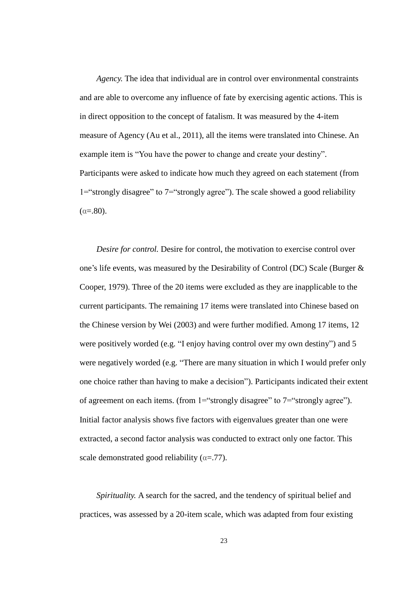*Agency.* The idea that individual are in control over environmental constraints and are able to overcome any influence of fate by exercising agentic actions. This is in direct opposition to the concept of fatalism. It was measured by the 4-item measure of Agency (Au et al., 2011), all the items were translated into Chinese. An example item is "You have the power to change and create your destiny". Participants were asked to indicate how much they agreed on each statement (from 1="strongly disagree" to 7="strongly agree"). The scale showed a good reliability  $(\alpha = .80)$ .

*Desire for control.* Desire for control, the motivation to exercise control over one's life events, was measured by the Desirability of Control (DC) Scale (Burger & Cooper, 1979). Three of the 20 items were excluded as they are inapplicable to the current participants. The remaining 17 items were translated into Chinese based on the Chinese version by Wei (2003) and were further modified. Among 17 items, 12 were positively worded (e.g. "I enjoy having control over my own destiny") and 5 were negatively worded (e.g. "There are many situation in which I would prefer only one choice rather than having to make a decision"). Participants indicated their extent of agreement on each items. (from  $1 =$ "strongly disagree" to  $7 =$ "strongly agree"). Initial factor analysis shows five factors with eigenvalues greater than one were extracted, a second factor analysis was conducted to extract only one factor. This scale demonstrated good reliability ( $\alpha = .77$ ).

*Spirituality.* A search for the sacred, and the tendency of spiritual belief and practices, was assessed by a 20-item scale, which was adapted from four existing

23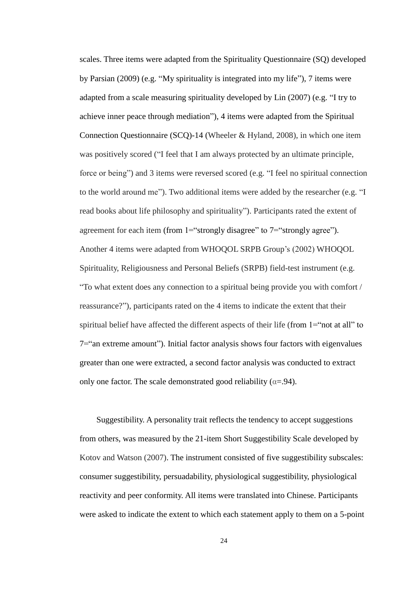scales. Three items were adapted from the Spirituality Questionnaire (SQ) developed by Parsian (2009) (e.g. "My spirituality is integrated into my life"), 7 items were adapted from a scale measuring spirituality developed by Lin (2007) (e.g. "I try to achieve inner peace through mediation"), 4 items were adapted from the Spiritual Connection Questionnaire (SCQ)-14 (Wheeler & Hyland, 2008), in which one item was positively scored ("I feel that I am always protected by an ultimate principle, force or being") and 3 items were reversed scored (e.g. "I feel no spiritual connection to the world around me"). Two additional items were added by the researcher (e.g. "I read books about life philosophy and spirituality"). Participants rated the extent of agreement for each item (from  $1 =$ "strongly disagree" to  $7 =$ "strongly agree"). Another 4 items were adapted from WHOQOL SRPB Group's (2002) WHOQOL Spirituality, Religiousness and Personal Beliefs (SRPB) field-test instrument (e.g. "To what extent does any connection to a spiritual being provide you with comfort / reassurance?"), participants rated on the 4 items to indicate the extent that their spiritual belief have affected the different aspects of their life (from 1="not at all" to 7="an extreme amount"). Initial factor analysis shows four factors with eigenvalues greater than one were extracted, a second factor analysis was conducted to extract only one factor. The scale demonstrated good reliability ( $\alpha = .94$ ).

Suggestibility. A personality trait reflects the tendency to accept suggestions from others, was measured by the 21-item Short Suggestibility Scale developed by Kotov and Watson (2007). The instrument consisted of five suggestibility subscales: consumer suggestibility, persuadability, physiological suggestibility, physiological reactivity and peer conformity. All items were translated into Chinese. Participants were asked to indicate the extent to which each statement apply to them on a 5-point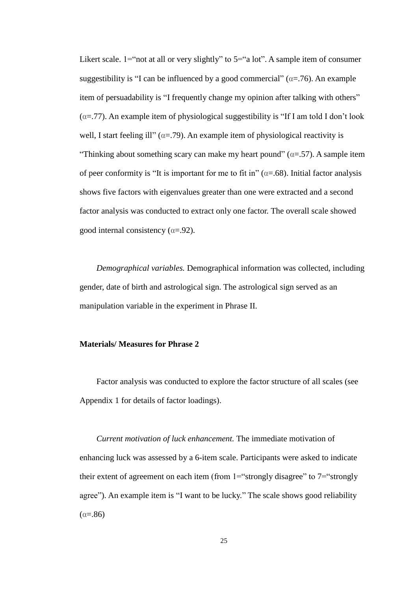Likert scale.  $1 =$ "not at all or very slightly" to  $5 =$ "a lot". A sample item of consumer suggestibility is "I can be influenced by a good commercial" ( $\alpha$ =.76). An example item of persuadability is "I frequently change my opinion after talking with others"  $(\alpha = .77)$ . An example item of physiological suggestibility is "If I am told I don't look well, I start feeling ill" ( $\alpha = 79$ ). An example item of physiological reactivity is "Thinking about something scary can make my heart pound" ( $\alpha$ =.57). A sample item of peer conformity is "It is important for me to fit in" ( $\alpha$ =.68). Initial factor analysis shows five factors with eigenvalues greater than one were extracted and a second factor analysis was conducted to extract only one factor. The overall scale showed good internal consistency ( $\alpha = .92$ ).

*Demographical variables.* Demographical information was collected, including gender, date of birth and astrological sign. The astrological sign served as an manipulation variable in the experiment in Phrase II.

## **Materials/ Measures for Phrase 2**

Factor analysis was conducted to explore the factor structure of all scales (see Appendix 1 for details of factor loadings).

*Current motivation of luck enhancement.* The immediate motivation of enhancing luck was assessed by a 6-item scale. Participants were asked to indicate their extent of agreement on each item (from  $1 =$ "strongly disagree" to  $7 =$ "strongly agree"). An example item is "I want to be lucky." The scale shows good reliability  $(\alpha = .86)$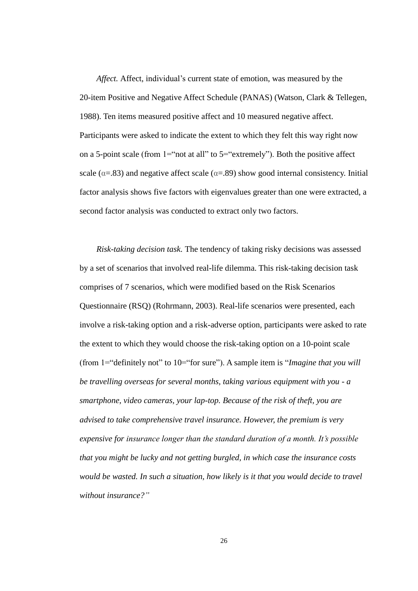*Affect.* Affect, individual's current state of emotion, was measured by the 20-item Positive and Negative Affect Schedule (PANAS) (Watson, Clark & Tellegen, 1988). Ten items measured positive affect and 10 measured negative affect. Participants were asked to indicate the extent to which they felt this way right now on a 5-point scale (from  $1 =$ "not at all" to  $5 =$ "extremely"). Both the positive affect scale ( $\alpha$ =.83) and negative affect scale ( $\alpha$ =.89) show good internal consistency. Initial factor analysis shows five factors with eigenvalues greater than one were extracted, a second factor analysis was conducted to extract only two factors.

*Risk-taking decision task.* The tendency of taking risky decisions was assessed by a set of scenarios that involved real-life dilemma. This risk-taking decision task comprises of 7 scenarios, which were modified based on the Risk Scenarios Questionnaire (RSQ) (Rohrmann, 2003). Real-life scenarios were presented, each involve a risk-taking option and a risk-adverse option, participants were asked to rate the extent to which they would choose the risk-taking option on a 10-point scale (from 1="definitely not" to 10="for sure"). A sample item is "*Imagine that you will be travelling overseas for several months, taking various equipment with you - a smartphone, video cameras, your lap-top. Because of the risk of theft, you are advised to take comprehensive travel insurance. However, the premium is very expensive for insurance longer than the standard duration of a month. It's possible that you might be lucky and not getting burgled, in which case the insurance costs would be wasted. In such a situation, how likely is it that you would decide to travel without insurance?"*

26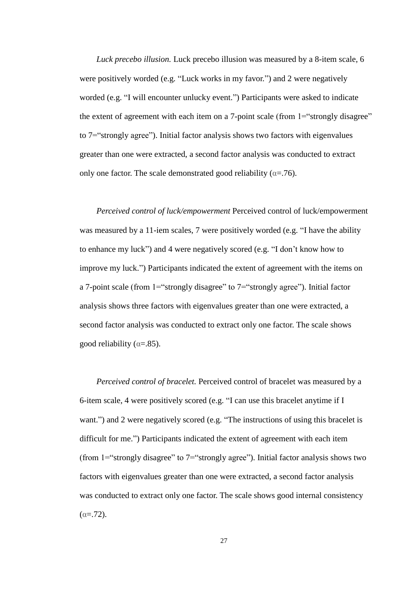*Luck precebo illusion.* Luck precebo illusion was measured by a 8-item scale, 6 were positively worded (e.g. "Luck works in my favor.") and 2 were negatively worded (e.g. "I will encounter unlucky event.") Participants were asked to indicate the extent of agreement with each item on a 7-point scale (from 1="strongly disagree" to 7="strongly agree"). Initial factor analysis shows two factors with eigenvalues greater than one were extracted, a second factor analysis was conducted to extract only one factor. The scale demonstrated good reliability ( $\alpha = .76$ ).

*Perceived control of luck/empowerment* Perceived control of luck/empowerment was measured by a 11-iem scales, 7 were positively worded (e.g. "I have the ability to enhance my luck") and 4 were negatively scored (e.g. "I don't know how to improve my luck.") Participants indicated the extent of agreement with the items on a 7-point scale (from  $1 =$ "strongly disagree" to  $7 =$ "strongly agree"). Initial factor analysis shows three factors with eigenvalues greater than one were extracted, a second factor analysis was conducted to extract only one factor. The scale shows good reliability ( $\alpha = 0.85$ ).

*Perceived control of bracelet.* Perceived control of bracelet was measured by a 6-item scale, 4 were positively scored (e.g. "I can use this bracelet anytime if I want.") and 2 were negatively scored (e.g. "The instructions of using this bracelet is difficult for me.") Participants indicated the extent of agreement with each item (from 1="strongly disagree" to 7="strongly agree"). Initial factor analysis shows two factors with eigenvalues greater than one were extracted, a second factor analysis was conducted to extract only one factor. The scale shows good internal consistency  $(\alpha = .72)$ .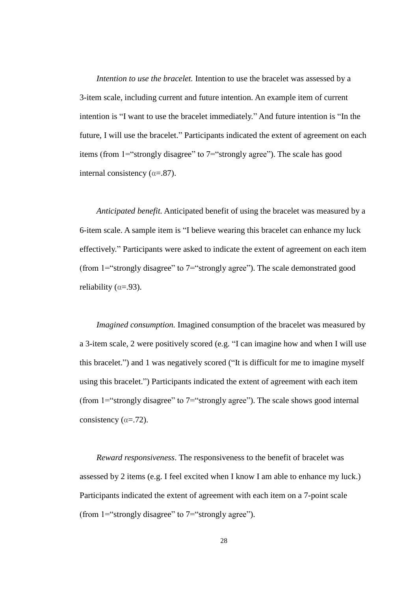*Intention to use the bracelet.* Intention to use the bracelet was assessed by a 3-item scale, including current and future intention. An example item of current intention is "I want to use the bracelet immediately." And future intention is "In the future, I will use the bracelet." Participants indicated the extent of agreement on each items (from 1="strongly disagree" to 7="strongly agree"). The scale has good internal consistency ( $\alpha = .87$ ).

*Anticipated benefit.* Anticipated benefit of using the bracelet was measured by a 6-item scale. A sample item is "I believe wearing this bracelet can enhance my luck effectively." Participants were asked to indicate the extent of agreement on each item (from 1="strongly disagree" to 7="strongly agree"). The scale demonstrated good reliability ( $\alpha = .93$ ).

*Imagined consumption.* Imagined consumption of the bracelet was measured by a 3-item scale, 2 were positively scored (e.g. "I can imagine how and when I will use this bracelet.") and 1 was negatively scored ("It is difficult for me to imagine myself using this bracelet.") Participants indicated the extent of agreement with each item (from 1="strongly disagree" to 7="strongly agree"). The scale shows good internal consistency ( $\alpha = .72$ ).

*Reward responsiveness*. The responsiveness to the benefit of bracelet was assessed by 2 items (e.g. I feel excited when I know I am able to enhance my luck.) Participants indicated the extent of agreement with each item on a 7-point scale (from  $1 =$ "strongly disagree" to  $7 =$ "strongly agree").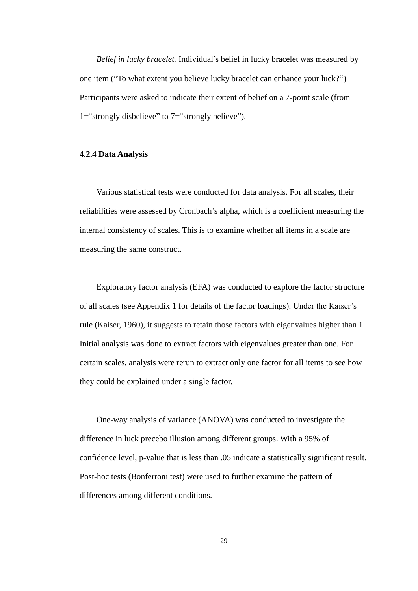*Belief in lucky bracelet.* Individual's belief in lucky bracelet was measured by one item ("To what extent you believe lucky bracelet can enhance your luck?") Participants were asked to indicate their extent of belief on a 7-point scale (from 1="strongly disbelieve" to 7="strongly believe").

## **4.2.4 Data Analysis**

Various statistical tests were conducted for data analysis. For all scales, their reliabilities were assessed by Cronbach's alpha, which is a coefficient measuring the internal consistency of scales. This is to examine whether all items in a scale are measuring the same construct.

Exploratory factor analysis (EFA) was conducted to explore the factor structure of all scales (see Appendix 1 for details of the factor loadings). Under the Kaiser's rule (Kaiser, 1960), it suggests to retain those factors with eigenvalues higher than 1. Initial analysis was done to extract factors with eigenvalues greater than one. For certain scales, analysis were rerun to extract only one factor for all items to see how they could be explained under a single factor.

One-way analysis of variance (ANOVA) was conducted to investigate the difference in luck precebo illusion among different groups. With a 95% of confidence level, p-value that is less than .05 indicate a statistically significant result. Post-hoc tests (Bonferroni test) were used to further examine the pattern of differences among different conditions.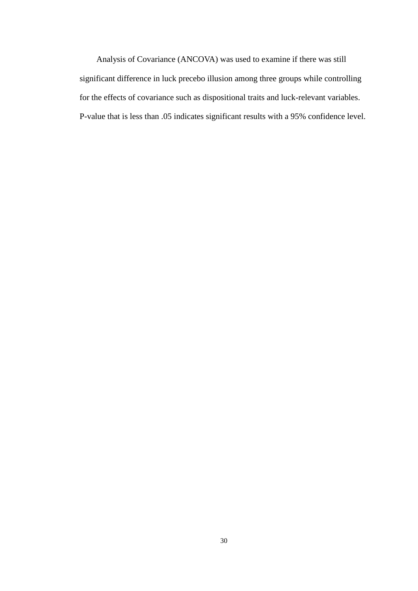Analysis of Covariance (ANCOVA) was used to examine if there was still significant difference in luck precebo illusion among three groups while controlling for the effects of covariance such as dispositional traits and luck-relevant variables. P-value that is less than .05 indicates significant results with a 95% confidence level.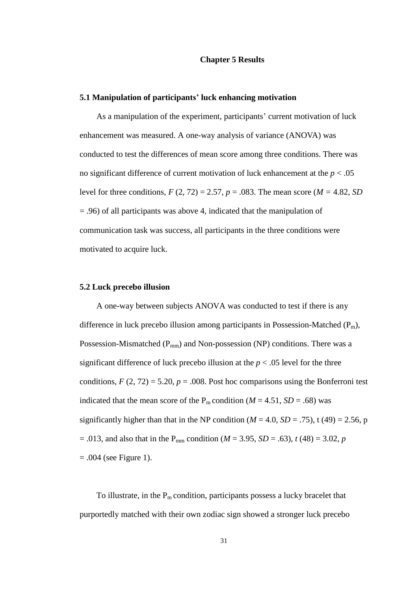#### **Chapter 5 Results**

## **5.1 Manipulation of participants' luck enhancing motivation**

As a manipulation of the experiment, participants' current motivation of luck enhancement was measured. A one-way analysis of variance (ANOVA) was conducted to test the differences of mean score among three conditions. There was no significant difference of current motivation of luck enhancement at the *p* < .05 level for three conditions,  $F(2, 72) = 2.57$ ,  $p = .083$ . The mean score ( $M = 4.82$ , SD = .96) of all participants was above 4, indicated that the manipulation of communication task was success, all participants in the three conditions were motivated to acquire luck.

## **5.2 Luck precebo illusion**

A one-way between subjects ANOVA was conducted to test if there is any difference in luck precebo illusion among participants in Possession-Matched  $(P_m)$ , Possession-Mismatched ( $P_{mm}$ ) and Non-possession (NP) conditions. There was a significant difference of luck precebo illusion at the  $p < .05$  level for the three conditions,  $F(2, 72) = 5.20$ ,  $p = .008$ . Post hoc comparisons using the Bonferroni test indicated that the mean score of the  $P_m$  condition ( $M = 4.51$ ,  $SD = .68$ ) was significantly higher than that in the NP condition ( $M = 4.0$ ,  $SD = .75$ ), t (49) = 2.56, p  $= .013$ , and also that in the P<sub>mm</sub> condition (*M* = 3.95, *SD* = .63), *t* (48) = 3.02, *p*  $= .004$  (see Figure 1).

To illustrate, in the  $P_m$  condition, participants possess a lucky bracelet that purportedly matched with their own zodiac sign showed a stronger luck precebo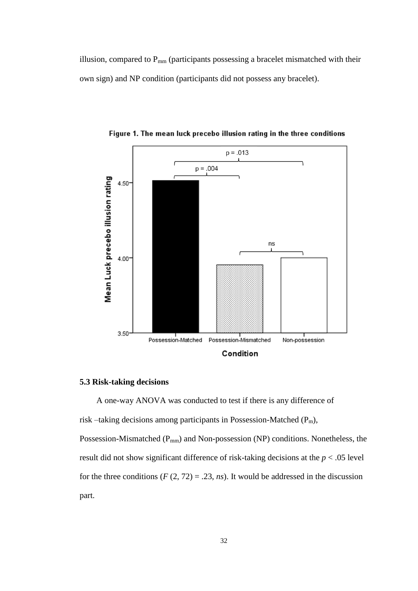illusion, compared to  $P_{mm}$  (participants possessing a bracelet mismatched with their own sign) and NP condition (participants did not possess any bracelet).



Figure 1. The mean luck precebo illusion rating in the three conditions

## **5.3 Risk-taking decisions**

A one-way ANOVA was conducted to test if there is any difference of risk –taking decisions among participants in Possession-Matched  $(P_m)$ , Possession-Mismatched ( $P_{mm}$ ) and Non-possession (NP) conditions. Nonetheless, the result did not show significant difference of risk-taking decisions at the *p* < .05 level for the three conditions ( $F(2, 72) = .23$ , *ns*). It would be addressed in the discussion part.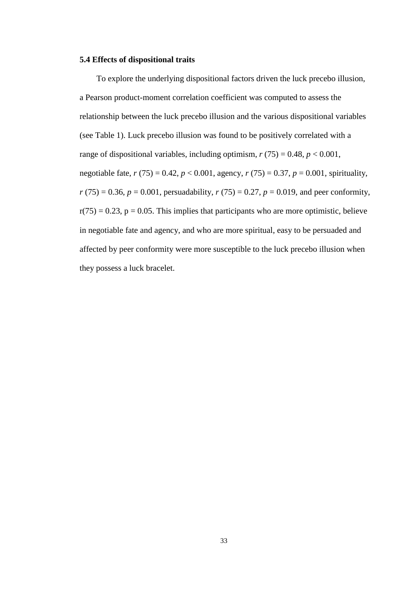## **5.4 Effects of dispositional traits**

To explore the underlying dispositional factors driven the luck precebo illusion, a Pearson product-moment correlation coefficient was computed to assess the relationship between the luck precebo illusion and the various dispositional variables (see Table 1). Luck precebo illusion was found to be positively correlated with a range of dispositional variables, including optimism,  $r(75) = 0.48$ ,  $p < 0.001$ , negotiable fate,  $r(75) = 0.42$ ,  $p < 0.001$ , agency,  $r(75) = 0.37$ ,  $p = 0.001$ , spirituality,  $r(75) = 0.36$ ,  $p = 0.001$ , persuadability,  $r(75) = 0.27$ ,  $p = 0.019$ , and peer conformity,  $r(75) = 0.23$ ,  $p = 0.05$ . This implies that participants who are more optimistic, believe in negotiable fate and agency, and who are more spiritual, easy to be persuaded and affected by peer conformity were more susceptible to the luck precebo illusion when they possess a luck bracelet.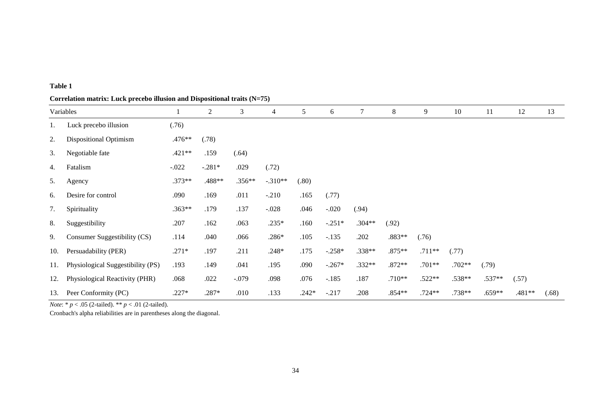| anı<br>۱e |  |
|-----------|--|
|           |  |

| Correlation matrix: Luck precebo illusion and Dispositional traits $(N=75)$ |
|-----------------------------------------------------------------------------|
|-----------------------------------------------------------------------------|

|     | Variables                         |          | $\overline{2}$ | 3       | 4         | 5       | 6        | $\overline{7}$ | 8        | 9        | 10       | 11       | 12     | 13    |
|-----|-----------------------------------|----------|----------------|---------|-----------|---------|----------|----------------|----------|----------|----------|----------|--------|-------|
| 1.  | Luck precebo illusion             | (.76)    |                |         |           |         |          |                |          |          |          |          |        |       |
| 2.  | <b>Dispositional Optimism</b>     | .476**   | (.78)          |         |           |         |          |                |          |          |          |          |        |       |
| 3.  | Negotiable fate                   | $.421**$ | .159           | (.64)   |           |         |          |                |          |          |          |          |        |       |
| 4.  | Fatalism                          | $-.022$  | $-.281*$       | .029    | (.72)     |         |          |                |          |          |          |          |        |       |
| 5.  | Agency                            | .373**   | .488**         | .356**  | $-.310**$ | (.80)   |          |                |          |          |          |          |        |       |
| 6.  | Desire for control                | .090     | .169           | .011    | $-.210$   | .165    | (.77)    |                |          |          |          |          |        |       |
| 7.  | Spirituality                      | $.363**$ | .179           | .137    | $-.028$   | .046    | $-.020$  | (.94)          |          |          |          |          |        |       |
| 8.  | Suggestibility                    | .207     | .162           | .063    | $.235*$   | .160    | $-.251*$ | $.304**$       | (.92)    |          |          |          |        |       |
| 9.  | Consumer Suggestibility (CS)      | .114     | .040           | .066    | $.286*$   | .105    | $-.135$  | .202           | .883**   | (.76)    |          |          |        |       |
| 10. | Persuadability (PER)              | $.271*$  | .197           | .211    | $.248*$   | .175    | $-.258*$ | .338**         | .875**   | $.711**$ | (.77)    |          |        |       |
| 11. | Physiological Suggestibility (PS) | .193     | .149           | .041    | .195      | .090    | $-.267*$ | $.332**$       | $.872**$ | $.701**$ | $.702**$ | (.79)    |        |       |
| 12. | Physiological Reactivity (PHR)    | .068     | .022           | $-.079$ | .098      | .076    | $-.185$  | .187           | $.710**$ | $.522**$ | .538**   | .537**   | (.57)  |       |
| 13. | Peer Conformity (PC)              | $.227*$  | $.287*$        | .010    | .133      | $.242*$ | $-.217$  | .208           | .854**   | .724**   | .738**   | $.659**$ | .481** | (.68) |

*Note*: \*  $p < .05$  (2-tailed). \*\*  $p < .01$  (2-tailed).

Cronbach's alpha reliabilities are in parentheses along the diagonal.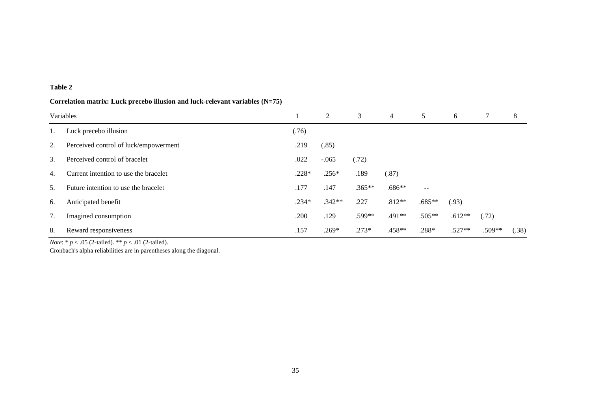## **Table 2**

## **Correlation matrix: Luck precebo illusion and luck-relevant variables (N=75)**

| Variables |                                       |         | 2        | 3        | 4        | 5                        | 6        |        | 8     |
|-----------|---------------------------------------|---------|----------|----------|----------|--------------------------|----------|--------|-------|
| 1.        | Luck precebo illusion                 | (.76)   |          |          |          |                          |          |        |       |
| 2.        | Perceived control of luck/empowerment | .219    | (.85)    |          |          |                          |          |        |       |
| 3.        | Perceived control of bracelet         | .022    | $-.065$  | (.72)    |          |                          |          |        |       |
| 4.        | Current intention to use the bracelet | $.228*$ | $.256*$  | .189     | (.87)    |                          |          |        |       |
| 5.        | Future intention to use the bracelet  | .177    | .147     | $.365**$ | $.686**$ | $\overline{\phantom{a}}$ |          |        |       |
| 6.        | Anticipated benefit                   | $.234*$ | $.342**$ | .227     | $.812**$ | $.685**$                 | (.93)    |        |       |
|           | Imagined consumption                  | .200    | .129     | .599**   | .491**   | $.505**$                 | $.612**$ | (.72)  |       |
| 8.        | Reward responsiveness                 | .157    | $.269*$  | $.273*$  | .458**   | $.288*$                  | $.527**$ | .509** | (.38) |

*Note*: \* *p* < .05 (2-tailed). \*\* *p* < .01 (2-tailed).

Cronbach's alpha reliabilities are in parentheses along the diagonal.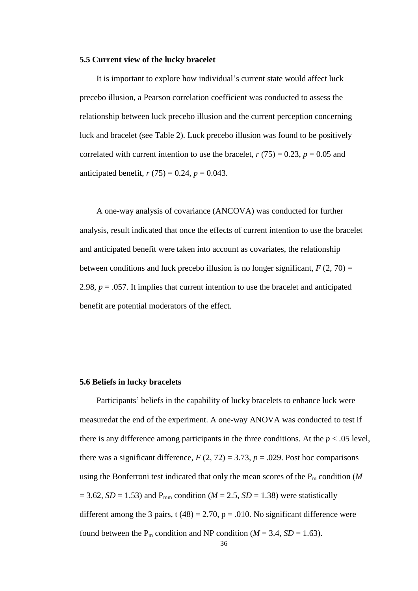#### **5.5 Current view of the lucky bracelet**

It is important to explore how individual's current state would affect luck precebo illusion, a Pearson correlation coefficient was conducted to assess the relationship between luck precebo illusion and the current perception concerning luck and bracelet (see Table 2). Luck precebo illusion was found to be positively correlated with current intention to use the bracelet,  $r(75) = 0.23$ ,  $p = 0.05$  and anticipated benefit,  $r(75) = 0.24$ ,  $p = 0.043$ .

A one-way analysis of covariance (ANCOVA) was conducted for further analysis, result indicated that once the effects of current intention to use the bracelet and anticipated benefit were taken into account as covariates, the relationship between conditions and luck precebo illusion is no longer significant,  $F(2, 70) =$ 2.98,  $p = 0.057$ . It implies that current intention to use the bracelet and anticipated benefit are potential moderators of the effect.

## **5.6 Beliefs in lucky bracelets**

Participants' beliefs in the capability of lucky bracelets to enhance luck were measuredat the end of the experiment. A one-way ANOVA was conducted to test if there is any difference among participants in the three conditions. At the  $p < .05$  level, there was a significant difference,  $F(2, 72) = 3.73$ ,  $p = .029$ . Post hoc comparisons using the Bonferroni test indicated that only the mean scores of the  $P_m$  condition ( $M$  $= 3.62$ , *SD* = 1.53) and P<sub>mm</sub> condition (*M* = 2.5, *SD* = 1.38) were statistically different among the 3 pairs, t (48) = 2.70, p = .010. No significant difference were found between the P<sub>m</sub> condition and NP condition ( $M = 3.4$ ,  $SD = 1.63$ ).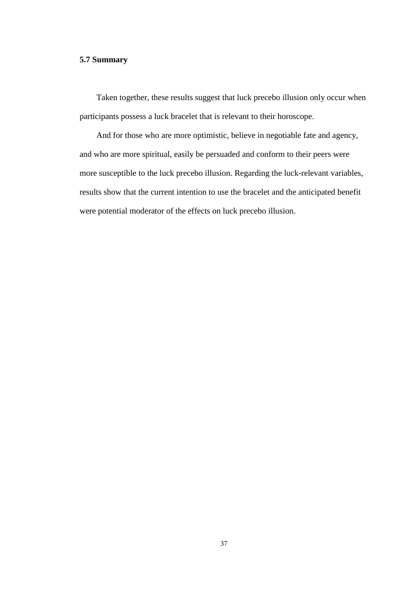## **5.7 Summary**

Taken together, these results suggest that luck precebo illusion only occur when participants possess a luck bracelet that is relevant to their horoscope.

And for those who are more optimistic, believe in negotiable fate and agency, and who are more spiritual, easily be persuaded and conform to their peers were more susceptible to the luck precebo illusion. Regarding the luck-relevant variables, results show that the current intention to use the bracelet and the anticipated benefit were potential moderator of the effects on luck precebo illusion.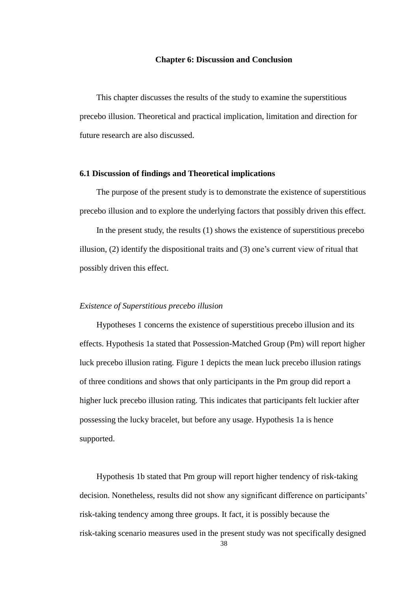## **Chapter 6: Discussion and Conclusion**

This chapter discusses the results of the study to examine the superstitious precebo illusion. Theoretical and practical implication, limitation and direction for future research are also discussed.

#### **6.1 Discussion of findings and Theoretical implications**

The purpose of the present study is to demonstrate the existence of superstitious precebo illusion and to explore the underlying factors that possibly driven this effect.

In the present study, the results (1) shows the existence of superstitious precebo illusion, (2) identify the dispositional traits and (3) one's current view of ritual that possibly driven this effect.

### *Existence of Superstitious precebo illusion*

Hypotheses 1 concerns the existence of superstitious precebo illusion and its effects. Hypothesis 1a stated that Possession-Matched Group (Pm) will report higher luck precebo illusion rating. Figure 1 depicts the mean luck precebo illusion ratings of three conditions and shows that only participants in the Pm group did report a higher luck precebo illusion rating. This indicates that participants felt luckier after possessing the lucky bracelet, but before any usage. Hypothesis 1a is hence supported.

Hypothesis 1b stated that Pm group will report higher tendency of risk-taking decision. Nonetheless, results did not show any significant difference on participants' risk-taking tendency among three groups. It fact, it is possibly because the risk-taking scenario measures used in the present study was not specifically designed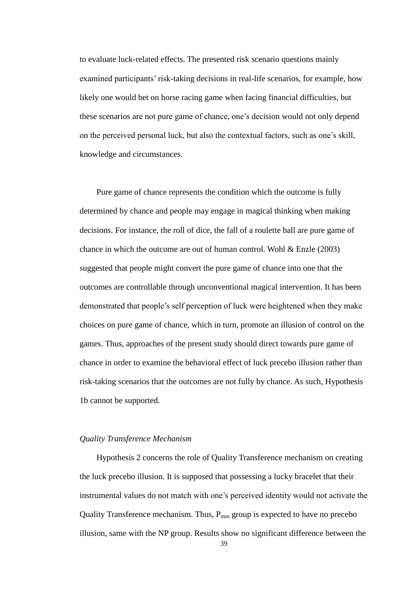to evaluate luck-related effects. The presented risk scenario questions mainly examined participants' risk-taking decisions in real-life scenarios, for example, how likely one would bet on horse racing game when facing financial difficulties, but these scenarios are not pure game of chance, one's decision would not only depend on the perceived personal luck, but also the contextual factors, such as one's skill, knowledge and circumstances.

Pure game of chance represents the condition which the outcome is fully determined by chance and people may engage in magical thinking when making decisions. For instance, the roll of dice, the fall of a roulette ball are pure game of chance in which the outcome are out of human control. Wohl & Enzle (2003) suggested that people might convert the pure game of chance into one that the outcomes are controllable through unconventional magical intervention. It has been demonstrated that people's self perception of luck were heightened when they make choices on pure game of chance, which in turn, promote an illusion of control on the games. Thus, approaches of the present study should direct towards pure game of chance in order to examine the behavioral effect of luck precebo illusion rather than risk-taking scenarios that the outcomes are not fully by chance. As such, Hypothesis 1b cannot be supported.

## *Quality Transference Mechanism*

Hypothesis 2 concerns the role of Quality Transference mechanism on creating the luck precebo illusion. It is supposed that possessing a lucky bracelet that their instrumental values do not match with one's perceived identity would not activate the Quality Transference mechanism. Thus,  $P_{mm}$  group is expected to have no precebo illusion, same with the NP group. Results show no significant difference between the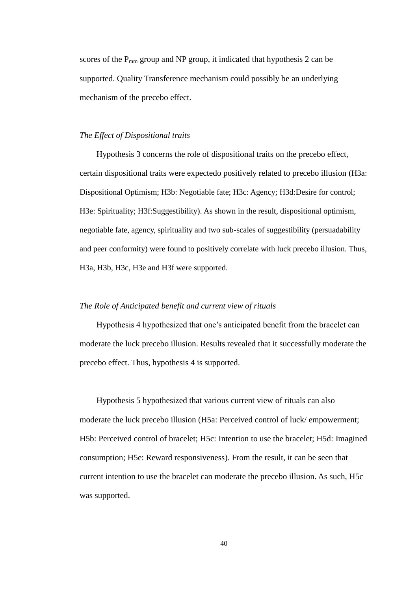scores of the  $P_{mm}$  group and NP group, it indicated that hypothesis 2 can be supported. Quality Transference mechanism could possibly be an underlying mechanism of the precebo effect.

#### *The Effect of Dispositional traits*

Hypothesis 3 concerns the role of dispositional traits on the precebo effect, certain dispositional traits were expectedo positively related to precebo illusion (H3a: Dispositional Optimism; H3b: Negotiable fate; H3c: Agency; H3d:Desire for control; H3e: Spirituality; H3f:Suggestibility). As shown in the result, dispositional optimism, negotiable fate, agency, spirituality and two sub-scales of suggestibility (persuadability and peer conformity) were found to positively correlate with luck precebo illusion. Thus, H3a, H3b, H3c, H3e and H3f were supported.

## *The Role of Anticipated benefit and current view of rituals*

Hypothesis 4 hypothesized that one's anticipated benefit from the bracelet can moderate the luck precebo illusion. Results revealed that it successfully moderate the precebo effect. Thus, hypothesis 4 is supported.

Hypothesis 5 hypothesized that various current view of rituals can also moderate the luck precebo illusion (H5a: Perceived control of luck/ empowerment; H5b: Perceived control of bracelet; H5c: Intention to use the bracelet; H5d: Imagined consumption; H5e: Reward responsiveness). From the result, it can be seen that current intention to use the bracelet can moderate the precebo illusion. As such, H5c was supported.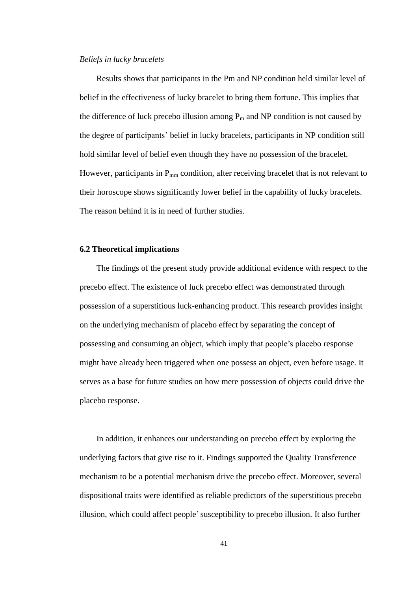## *Beliefs in lucky bracelets*

Results shows that participants in the Pm and NP condition held similar level of belief in the effectiveness of lucky bracelet to bring them fortune. This implies that the difference of luck precebo illusion among  $P_m$  and NP condition is not caused by the degree of participants' belief in lucky bracelets, participants in NP condition still hold similar level of belief even though they have no possession of the bracelet. However, participants in  $P_{mm}$  condition, after receiving bracelet that is not relevant to their horoscope shows significantly lower belief in the capability of lucky bracelets. The reason behind it is in need of further studies.

## **6.2 Theoretical implications**

The findings of the present study provide additional evidence with respect to the precebo effect. The existence of luck precebo effect was demonstrated through possession of a superstitious luck-enhancing product. This research provides insight on the underlying mechanism of placebo effect by separating the concept of possessing and consuming an object, which imply that people's placebo response might have already been triggered when one possess an object, even before usage. It serves as a base for future studies on how mere possession of objects could drive the placebo response.

In addition, it enhances our understanding on precebo effect by exploring the underlying factors that give rise to it. Findings supported the Quality Transference mechanism to be a potential mechanism drive the precebo effect. Moreover, several dispositional traits were identified as reliable predictors of the superstitious precebo illusion, which could affect people'susceptibility to precebo illusion. It also further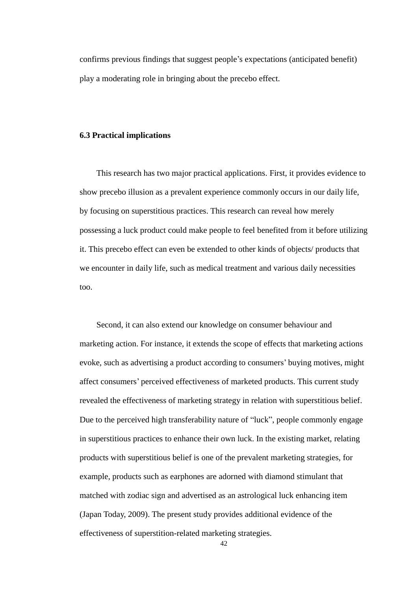confirms previous findings that suggest people's expectations (anticipated benefit) play a moderating role in bringing about the precebo effect.

## **6.3 Practical implications**

This research has two major practical applications. First, it provides evidence to show precebo illusion as a prevalent experience commonly occurs in our daily life, by focusing on superstitious practices. This research can reveal how merely possessing a luck product could make people to feel benefited from it before utilizing it. This precebo effect can even be extended to other kinds of objects/ products that we encounter in daily life, such as medical treatment and various daily necessities too.

Second, it can also extend our knowledge on consumer behaviour and marketing action. For instance, it extends the scope of effects that marketing actions evoke, such as advertising a product according to consumers' buying motives, might affect consumers' perceived effectiveness of marketed products. This current study revealed the effectiveness of marketing strategy in relation with superstitious belief. Due to the perceived high transferability nature of "luck", people commonly engage in superstitious practices to enhance their own luck. In the existing market, relating products with superstitious belief is one of the prevalent marketing strategies, for example, products such as earphones are adorned with diamond stimulant that matched with zodiac sign and advertised as an astrological luck enhancing item (Japan Today, 2009). The present study provides additional evidence of the effectiveness of superstition-related marketing strategies.

42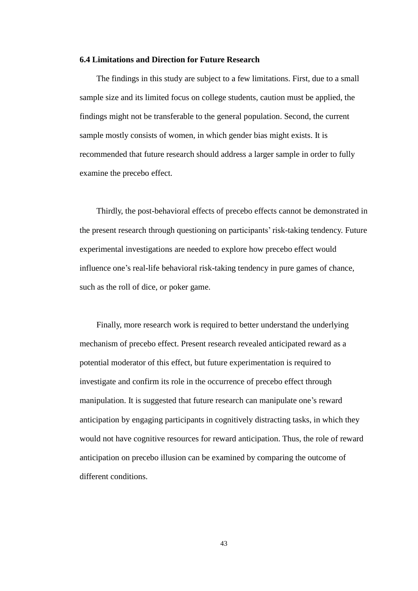## **6.4 Limitations and Direction for Future Research**

The findings in this study are subject to a few limitations. First, due to a small sample size and its limited focus on college students, caution must be applied, the findings might not be transferable to the general population. Second, the current sample mostly consists of women, in which gender bias might exists. It is recommended that future research should address a larger sample in order to fully examine the precebo effect.

Thirdly, the post-behavioral effects of precebo effects cannot be demonstrated in the present research through questioning on participants' risk-taking tendency. Future experimental investigations are needed to explore how precebo effect would influence one's real-life behavioral risk-taking tendency in pure games of chance, such as the roll of dice, or poker game.

Finally, more research work is required to better understand the underlying mechanism of precebo effect. Present research revealed anticipated reward as a potential moderator of this effect, but future experimentation is required to investigate and confirm its role in the occurrence of precebo effect through manipulation. It is suggested that future research can manipulate one's reward anticipation by engaging participants in cognitively distracting tasks, in which they would not have cognitive resources for reward anticipation. Thus, the role of reward anticipation on precebo illusion can be examined by comparing the outcome of different conditions.

43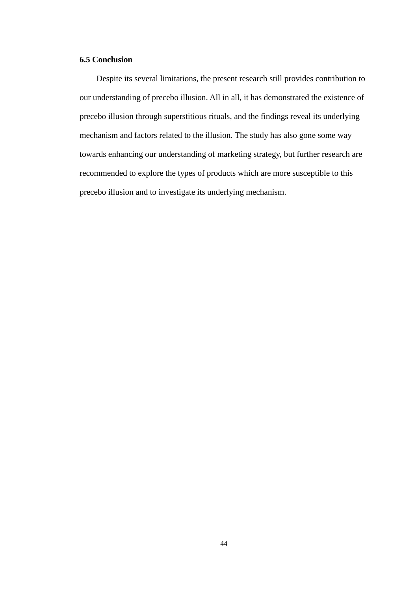## **6.5 Conclusion**

Despite its several limitations, the present research still provides contribution to our understanding of precebo illusion. All in all, it has demonstrated the existence of precebo illusion through superstitious rituals, and the findings reveal its underlying mechanism and factors related to the illusion. The study has also gone some way towards enhancing our understanding of marketing strategy, but further research are recommended to explore the types of products which are more susceptible to this precebo illusion and to investigate its underlying mechanism.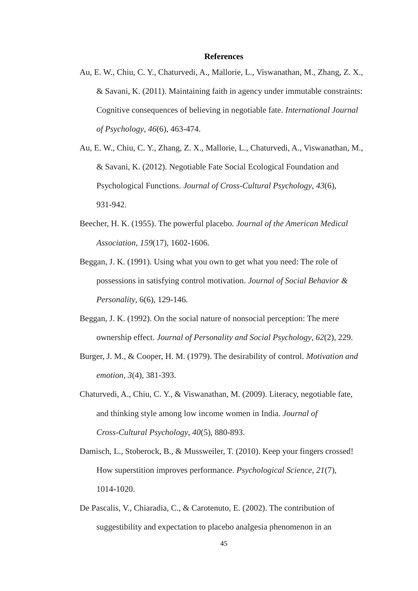#### **References**

- Au, E. W., Chiu, C. Y., Chaturvedi, A., Mallorie, L., Viswanathan, M., Zhang, Z. X., & Savani, K. (2011). Maintaining faith in agency under immutable constraints: Cognitive consequences of believing in negotiable fate. *International Journal of Psychology*, *46*(6), 463-474.
- Au, E. W., Chiu, C. Y., Zhang, Z. X., Mallorie, L., Chaturvedi, A., Viswanathan, M., & Savani, K. (2012). Negotiable Fate Social Ecological Foundation and Psychological Functions. *Journal of Cross-Cultural Psychology*, *43*(6), 931-942.
- Beecher, H. K. (1955). The powerful placebo. *Journal of the American Medical Association*, *159*(17), 1602-1606.
- Beggan, J. K. (1991). Using what you own to get what you need: The role of possessions in satisfying control motivation. *Journal of Social Behavior & Personality*, 6(6), 129-146.
- Beggan, J. K. (1992). On the social nature of nonsocial perception: The mere ownership effect. *Journal of Personality and Social Psychology*, *62*(2), 229.
- Burger, J. M., & Cooper, H. M. (1979). The desirability of control. *Motivation and emotion*, *3*(4), 381-393.
- Chaturvedi, A., Chiu, C. Y., & Viswanathan, M. (2009). Literacy, negotiable fate, and thinking style among low income women in India. *Journal of Cross-Cultural Psychology*, *40*(5), 880-893.
- Damisch, L., Stoberock, B., & Mussweiler, T. (2010). Keep your fingers crossed! How superstition improves performance. *Psychological Science*, *21*(7), 1014-1020.
- De Pascalis, V., Chiaradia, C., & Carotenuto, E. (2002). The contribution of suggestibility and expectation to placebo analgesia phenomenon in an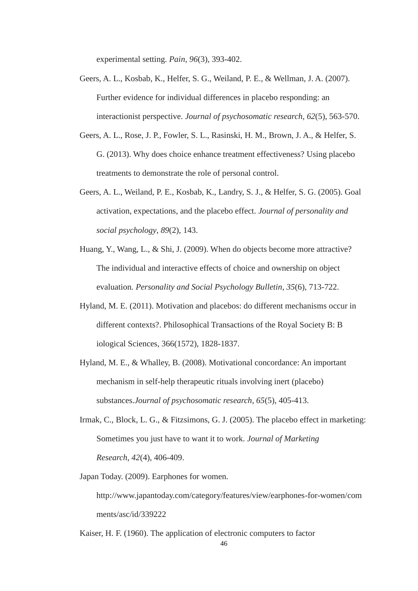experimental setting. *Pain*, *96*(3), 393-402.

- Geers, A. L., Kosbab, K., Helfer, S. G., Weiland, P. E., & Wellman, J. A. (2007). Further evidence for individual differences in placebo responding: an interactionist perspective. *Journal of psychosomatic research*, *62*(5), 563-570.
- Geers, A. L., Rose, J. P., Fowler, S. L., Rasinski, H. M., Brown, J. A., & Helfer, S. G. (2013). Why does choice enhance treatment effectiveness? Using placebo treatments to demonstrate the role of personal control.
- Geers, A. L., Weiland, P. E., Kosbab, K., Landry, S. J., & Helfer, S. G. (2005). Goal activation, expectations, and the placebo effect. *Journal of personality and social psychology*, *89*(2), 143.
- Huang, Y., Wang, L., & Shi, J. (2009). When do objects become more attractive? The individual and interactive effects of choice and ownership on object evaluation. *Personality and Social Psychology Bulletin*, *35*(6), 713-722.
- Hyland, M. E. (2011). Motivation and placebos: do different mechanisms occur in different contexts?. Philosophical Transactions of the Royal Society B: B iological Sciences, 366(1572), 1828-1837.
- Hyland, M. E., & Whalley, B. (2008). Motivational concordance: An important mechanism in self-help therapeutic rituals involving inert (placebo) substances.*Journal of psychosomatic research*, *65*(5), 405-413.
- Irmak, C., Block, L. G., & Fitzsimons, G. J. (2005). The placebo effect in marketing: Sometimes you just have to want it to work. *Journal of Marketing Research*, *42*(4), 406-409.
- Japan Today. (2009). Earphones for women. http://www.japantoday.com/category/features/view/earphones-for-women/com ments/asc/id/339222
- 46 Kaiser, H. F. (1960). The application of electronic computers to factor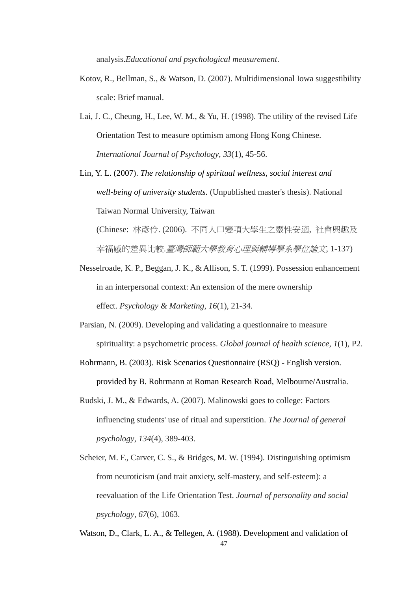analysis.*Educational and psychological measurement*.

- Kotov, R., Bellman, S., & Watson, D. (2007). Multidimensional Iowa suggestibility scale: Brief manual.
- Lai, J. C., Cheung, H., Lee, W. M., & Yu, H. (1998). The utility of the revised Life Orientation Test to measure optimism among Hong Kong Chinese. *International Journal of Psychology*, *33*(1), 45-56.
- Lin, Y. L. (2007). *The relationship of spiritual wellness, social interest and well-being of university students.* (Unpublished master's thesis). National Taiwan Normal University, Taiwan (Chinese: 林彥伶. (2006). 不同人口變項大學生之靈性安適, 社會興趣及 幸福感的差異比較.臺灣師範大學教育心理與輔導學系學位論文, 1-137)
- Nesselroade, K. P., Beggan, J. K., & Allison, S. T. (1999). Possession enhancement in an interpersonal context: An extension of the mere ownership effect. *Psychology & Marketing*, *16*(1), 21-34.
- Parsian, N. (2009). Developing and validating a questionnaire to measure spirituality: a psychometric process. *Global journal of health science*, *1*(1), P2.
- Rohrmann, B. (2003). Risk Scenarios Questionnaire (RSQ) English version. provided by B. Rohrmann at Roman Research Road, Melbourne/Australia.
- Rudski, J. M., & Edwards, A. (2007). Malinowski goes to college: Factors influencing students' use of ritual and superstition. *The Journal of general psychology*, *134*(4), 389-403.
- Scheier, M. F., Carver, C. S., & Bridges, M. W. (1994). Distinguishing optimism from neuroticism (and trait anxiety, self-mastery, and self-esteem): a reevaluation of the Life Orientation Test. *Journal of personality and social psychology*, *67*(6), 1063.
- 47 Watson, D., Clark, L. A., & Tellegen, A. (1988). Development and validation of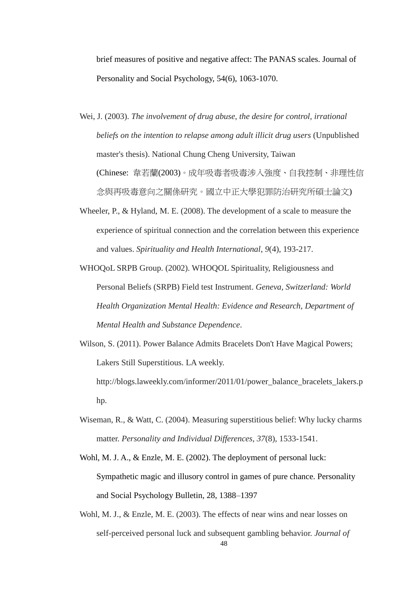brief measures of positive and negative affect: The PANAS scales. Journal of Personality and Social Psychology, 54(6), 1063-1070.

- Wei, J. (2003). *The involvement of drug abuse, the desire for control, irrational beliefs on the intention to relapse among adult illicit drug users* (Unpublished master's thesis). National Chung Cheng University, Taiwan (Chinese: 韋若蘭(2003)。成年吸毒者吸毒涉入強度、自我控制、非理性信 念與再吸毒意向之關係研究。國立中正大學犯罪防治研究所碩士論文)
- Wheeler, P., & Hyland, M. E. (2008). The development of a scale to measure the experience of spiritual connection and the correlation between this experience and values. *Spirituality and Health International*, *9*(4), 193-217.
- WHOQoL SRPB Group. (2002). WHOQOL Spirituality, Religiousness and Personal Beliefs (SRPB) Field test Instrument. *Geneva, Switzerland: World Health Organization Mental Health: Evidence and Research, Department of Mental Health and Substance Dependence*.
- Wilson, S. (2011). Power Balance Admits Bracelets Don't Have Magical Powers; Lakers Still Superstitious. LA weekly. http://blogs.laweekly.com/informer/2011/01/power\_balance\_bracelets\_lakers.p

hp.

- Wiseman, R., & Watt, C. (2004). Measuring superstitious belief: Why lucky charms matter. *Personality and Individual Differences*, *37*(8), 1533-1541.
- Wohl, M. J. A., & Enzle, M. E. (2002). The deployment of personal luck: Sympathetic magic and illusory control in games of pure chance. Personality and Social Psychology Bulletin, 28, 1388–1397
- Wohl, M. J., & Enzle, M. E. (2003). The effects of near wins and near losses on self-perceived personal luck and subsequent gambling behavior. *Journal of*